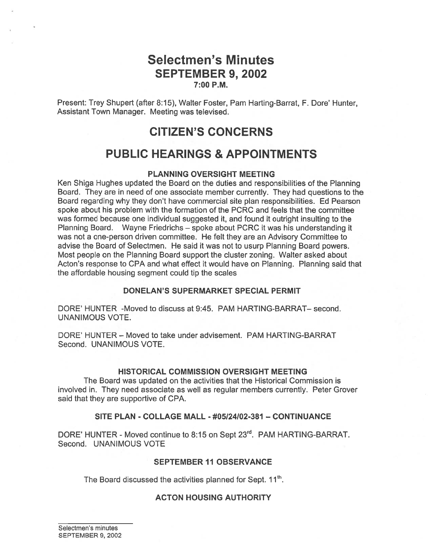## Selectmen's Minutes SEPTEMBER 9, 2002 7:00 P.M.

Present: Trey Shupert (after 8:15), Walter Foster, Pam Harting-Barrat, F. Dore' Hunter, Assistant Town Manager. Meeting was televised.

## CITIZEN'S CONCERNS

# PUBLIC HEARINGS & APPOINTMENTS

### PLANNING OVERSIGHT MEETING

Ken Shiga Hughes updated the Board on the duties and responsibilities of the Planning Board. They are in need of one associate member currently. They had questions to the Board regarding why they don't have commercial site plan responsibilities. Ed Pearson spoke about his problem with the formation of the PCRC and feels that the committee was formed because one individual suggested it, and found it outright insulting to the Planning Board. Wayne Friedrichs — spoke about PCRC it was his understanding it was not <sup>a</sup> one-person driven committee. He felt they are an Advisory Committee to advise the Board of Selectmen. He said it was not to usurp Planning Board powers. Most people on the Planning Board suppor<sup>t</sup> the cluster zoning. Walter asked about Acton's response to CPA and what effect it would have on Planning. Planning said that the affordable housing segmen<sup>t</sup> could tip the scales

### DONELAN'S SUPERMARKET SPECIAL PERMIT

DORE' HUNTER -Moved to discuss at 9:45. PAM HARTING-BARRAT— second. UNANIMOUS VOTE.

DORE' HUNTER - Moved to take under advisement. PAM HARTING-BARRAT Second. UNANIMOUS VOTE.

### HISTORICAL COMMISSION OVERSIGHT MEETING

The Board was updated on the activities that the Historical Commission is involved in. They need associate as well as regular members currently. Peter Grover said that they are supportive of CPA.

### SITE PLAN - COLLAGE MALL - #05124102-381 — CONTINUANCE

DORE' HUNTER - Moved continue to 8:15 on Sept 23<sup>rd</sup>. PAM HARTING-BARRAT. Second. UNANIMOUS VOTE

### SEPTEMBER 11 OBSERVANCE

The Board discussed the activities planned for Sept. 11<sup>th</sup>.

### ACTON HOUSING AUTHORITY

Selectmen's minutes SEPTEMBER 9, 2002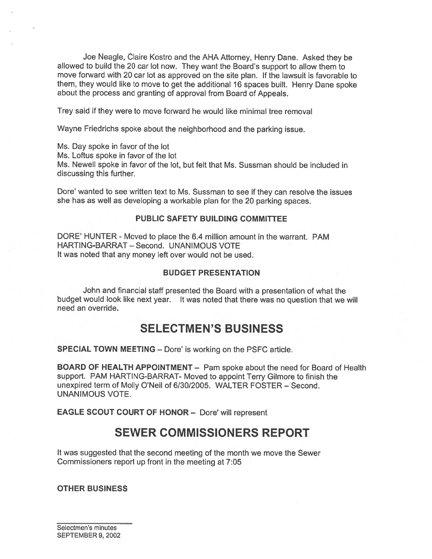Joe Neagle, Claire Kostro and the AHA Attorney, Henry Dane. Asked they be allowed to build the <sup>20</sup> car lot now. They want the Board's suppor<sup>t</sup> to allow them to move forward with 20 car lot as approved on the site plan. If the lawsuit is favorable to them, they would like to move to ge<sup>t</sup> the additional <sup>16</sup> spaces built. Henry Dane spoke about the process and granting of approva<sup>l</sup> from Board of Appeals.

Trey said if they were to move forward he would like minimal tree removal

Wayne Friedrichs spoke about the neighborhood and the parking issue.

Ms. Day spoke in favor of the lot

Ms. Loftus spoke in favor of the lot

Ms. Newell spoke in favor of the lot, but felt that Ms. Sussman should be included in discussing this further.

Dore' wanted to see written text to Ms. Sussman to see if they can resolve the issues she has as well as developing <sup>a</sup> workable <sup>p</sup>lan for the 20 parking spaces.

### PUBLIC SAFETY BUILDING COMMITTEE

DORE' HUNTER - Moved to place the 6.4 million amount in the warrant. PAM HARTING-BARRAT — Second. UNANIMOUS VOTE It was noted that any money left over would not be used.

#### BUDGET PRESENTATION

John and financial staff presented the Board with <sup>a</sup> presentation of what the budget would look like next year. It was noted that there was no question that we will need an override.

## SELECTMEN'S BUSINESS

SPECIAL TOWN MEETING — Dote' is working on the PSFC article.

BOARD OF HEALTH APPOINTMENT — Pam spoke about the need for Board of Health support. PAM HARTING-BARRAT- Moved to appoint Terry Gilmore to finish the unexpired term of Molly O'Neil of 6/30/2005. WALTER FOSTER — Second. UNANIMOUS VOTE.

EAGLE SCOUT COURT OF HONOR — Dote' will represen<sup>t</sup>

## SEWER COMMISSIONERS REPORT

It was suggested that the second meeting of the month we move the Sewer Commissioners repor<sup>t</sup> up front in the meeting at 7:05

#### OTHER BUSINESS

Selectmen's minutes SEPTEMBER 9, 2002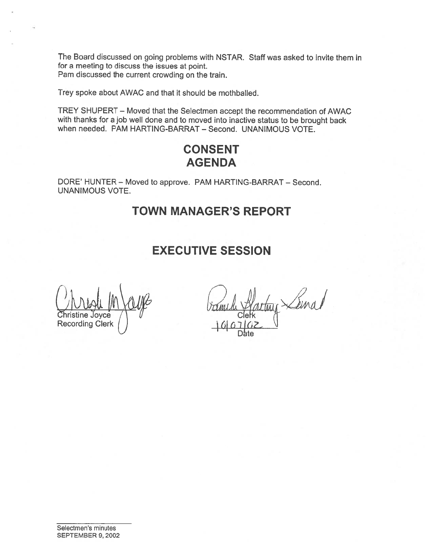The Board discussed on going problems with NSTAR. Staff was asked to invite them in for <sup>a</sup> meeting to discuss the issues at point. Pam discussed the current crowding on the train.

Trey spoke about AWAC and that it should be mothballed.

TREY SHUPERT Moved that the Selectmen accep<sup>t</sup> the recommendation of AWAC with thanks for <sup>a</sup> job well done and to moved into inactive status to be brought back when needed. PAM HARTING-BARRAT — Second. UNANIMOUS VOTE.

# CONSENT **AGENDA**

DORE' HUNTER — Moved to approve. PAM HARTING-BARRAT — Second. UNANIMOUS VOTE.

# TOWN MANAGER'S REPORT

# EXECUTIVE SESSION

 $\begin{array}{c|c}\n\hline\n\text{Multi} & \text{In} \\
\hline\n\text{Christine Joyce} & \text{I} \\
\text{Recording Clerk} & \text{I} \\
\hline\n\end{array}$ 

Seinal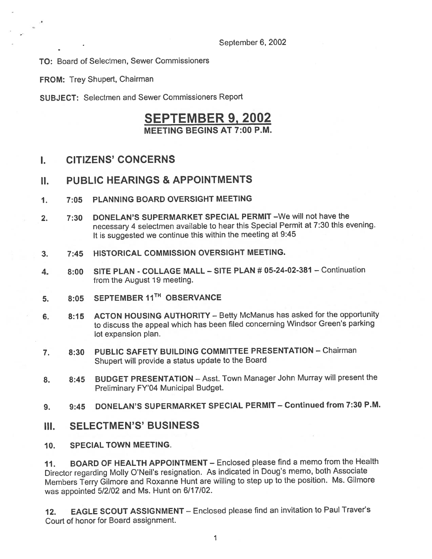TO: Board of Selectmen, Sewer Commissioners

FROM: Trey Shupert, Chairman

SUBJECT: Selectmen and Sewer Commissioners Report

## SEPTEMBER 9, 2002 MEETING BEGINS AT 7:00 P.M.

### I. CITIZENS' CONCERNS

### II. PUBLIC HEARINGS & APPOINTMENTS

- 1. 7:05 PLANNING BOARD OVERSIGHT MEETING
- 2. 7:30 DONELAN'S SUPERMARKET SPECIAL PERMIT —We will not have the necessary <sup>4</sup> selectmen available to hear this Special Permit at 7:30 this evening. It is suggested we continue this within the meeting at 9:45
- 3. 7:45 HISTORICAL COMMISSION OVERSIGHT MEETING.
- 4. 8:00 SITE PLAN COLLAGE MALL SITE PLAN # 05-24-02-381 Continuation from the August 19 meeting.
- 5. 8:05 SEPTEMBER 11<sup>TH</sup> OBSERVANCE
- 6. 8:15 ACTON HOUSING AUTHORITY Betty McManus has asked for the opportunity to discuss the appea<sup>l</sup> which has been filed concerning Windsor Green's parking lot expansion plan.
- 7. 8:30 PUBLIC SAFETY BUILDING COMMITTEE PRESENTATION Chairman Shupert will provide <sup>a</sup> status update to the Board
- 8. 8:45 BUDGET PRESENTATION Asst. Town Manager John Murray will present the Preliminary FY'04 Municipal Budget.
- 9. 9:45 DONELAN'S SUPERMARKET SPECIAL PERMIT Continued from 7:30 P.M.

### III. SELECTMEN'S' BUSINESS

10. SPECIAL TOWN MEETING.

11. BOARD OF HEALTH APPOINTMENT — Enclosed <sup>p</sup>lease find <sup>a</sup> memo from the Health Director regarding Molly O'Neil's resignation. As indicated in Doug's memo, both Associate Members Terry Gilmore and Roxanne Hunt are willing to step up to the position. Ms. Gilmore was appointed 5/2/02 and Ms. Hunt on 6/17/02.

12. EAGLE SCOUT ASSIGNMENT — Enclosed <sup>p</sup>lease find an invitation to Paul Traver's Court of honor for Board assignment.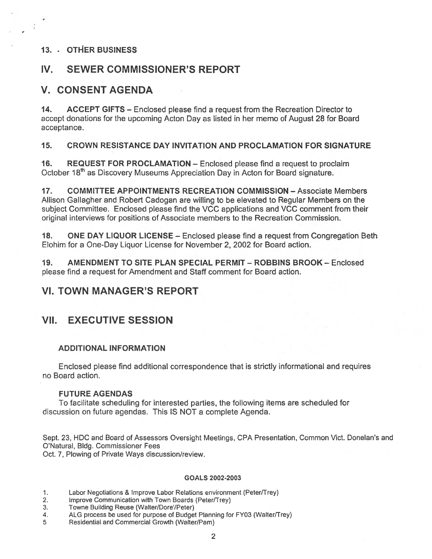### 13. . OTHER BUSINESS

## IV. SEWER COMMISSIONER'S REPORT

## V. CONSENT AGENDA

14. ACCEPT GIFTS — Enclosed please find <sup>a</sup> reques<sup>t</sup> from the Recreation Director to accep<sup>t</sup> donations for the upcoming Acton Day as listed in her memo of August 28 for Board acceptance.

### 15. CROWN RESISTANCE DAY INVITATION AND PROCLAMATION FOR SIGNATURE

16. REQUEST FOR PROCLAMATION — Enclosed please find <sup>a</sup> reques<sup>t</sup> to proclaim October 18<sup>th</sup> as Discovery Museums Appreciation Day in Acton for Board signature.

17. COMMITTEE APPOINTMENTS RECREATION COMMISSION — Associate Members Allison Gallagher and Robert Cadogan are willing to be elevated to Regular Members on the subject Committee. Enclosed please find the VCC applications and VCC comment from their original interviews for positions of Associate members to the Recreation Commission.

18. ONE DAY LIQUOR LICENSE — Enclosed please find <sup>a</sup> reques<sup>t</sup> from Congregation Beth Elohim for <sup>a</sup> One-Day Liquor License for November 2, 2002 for Board action.

19. AMENDMENT TO SITE PLAN SPECIAL PERMIT — ROBBINS BROOK — Enclosed please find <sup>a</sup> reques<sup>t</sup> for Amendment and Staff comment for Board action.

## VI. TOWN MANAGER'S REPORT

## VII. EXECUTIVE SESSION

### ADDITIONAL INFORMATION

Enclosed please find additional correspondence that is strictly informational and requires no Board action.

### FUTURE AGENDAS

To facilitate scheduling for interested parties, the following items are scheduled for discussion on future agendas. This IS NOT <sup>a</sup> complete Agenda.

Sept. 23, HDC and Board of Assessors Oversight Meetings, CPA Presentation, Common Vict. Donelan's and O'Natural, Bldg. Commissioner Fees

Oct. 7, Plowing of Private Ways discussion/review.

#### GOALS 2002-2003

- 1. Labor Negotiations & Improve Labor Relations environment (Peter/Trey)
- 2. Improve Communication with Town Boards (Peter/Trey)
- 3. Towne Building Reuse (Walter/Dore/Peter)
- 4. ALG process be used for purpose of Budget Planning for FY03 (Walter/Trey)
- 5 Residential and Commercial Growth (Walter/Pam)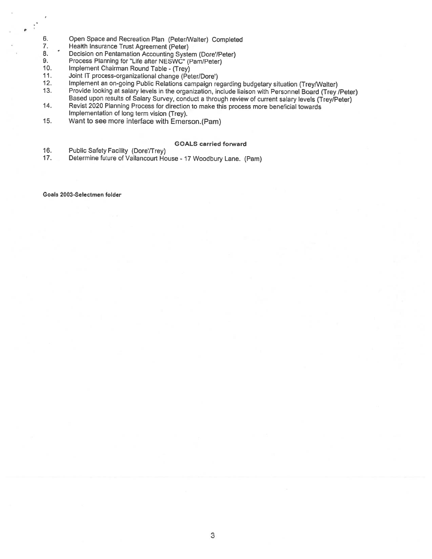- 6. Open Space and Recreation Plan (Peter/Walter) Completed 7. Health Insurance Trust Agreement (Peter)
- 7. Health Insurance Trust Agreement (Peter)<br>8. Decision on Pentamation Accounting Syste
- 8. <sup>Conce</sup> Decision on Pentamation Accounting System (Dore'/Peter)<br>9. Process Planning for "Life after NESWC" (Pam/Peter)
- 9. Process Planning for "Life after NESWC" (Pam/Peter)<br>10. Implement Chairman Round Table (Trev)
- 10. Implement Chairman Round Table (Trey)<br>11. Joint IT process-organizational change (Pe
- 11. Joint IT process-organizational change (Peter/Dore')<br>12. Implement an on-going Public Relations campaign re
- 12. Implement an on-going Public Relations campaign regarding budgetary situation (Trey/Walter)<br>13. Provide looking at salary levels in the organization, include liaison with Personnel Board (Trey)
- Provide looking at salary levels in the organization, include liaison with Personnel Board (Trey /Peter) Based upon results of Salary Survey, conduct <sup>a</sup> through review of current salary levels (Trey/Peter)
- 14. Revist <sup>2020</sup> Planning Process for direction to make this process more beneficial towards Implementation of long term vision (Trey).
- 15. Want to see more interface with Emerson.(Pam)

#### GOALS carried forward

- 16. Public Safety Facility (Dore/Trey)
- 17. Determine future of Vailancourt House <sup>17</sup> Woodbury Lane. (Pam)

Goals 2003-Selectmen folder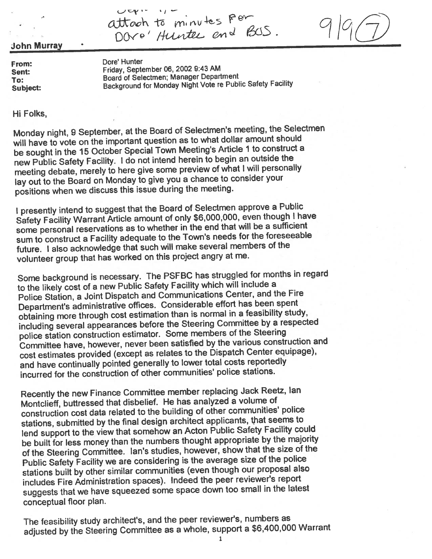attach to minutes Fer DOVO' Hunter and BUS.



John Murray

From: Dore' Hunter Sent: Friday, September 06, 2002 9:43 AM To: Board of Selectmen; Manager Department Subject: Background for Monday Night Vote re Public Safety Facility

Hi Folks,

Monday night, <sup>9</sup> September, at the Board of Selectmen's meeting, the Selectmen will have to vote on the important question as to what dollar amount should be sought in the 15 October Special Town Meeting's Article 1 to construct a new Public Safety Facility. <sup>I</sup> do not intend herein to begin an outside the meeting debate, merely to here <sup>g</sup>ive some preview of what <sup>I</sup> will personally lay out to the Board on Monday to <sup>g</sup>ive you <sup>a</sup> chance to consider your positions when we discuss this issue during the meeting.

I presently intend to suggest that the Board of Selectmen approve a Public Safety Facility Warrant Article amount of only \$6,000,000, even though <sup>I</sup> have some personal reservations as to whether in the end that will be a sufficient sum to construct a Facility adequate to the Town's needs for the foreseeable future. <sup>I</sup> also acknowledge that such will make several members of the volunteer group that has worked on this project angry at me.

Some background is necessary. The PSFBC has struggled for months in regar<sup>d</sup> to the likely cost of <sup>a</sup> new Public Safety Facility which will include a Police Station, <sup>a</sup> Joint Dispatch and Communications Center, and the Fire Department's administrative offices. Considerable effort has been spen<sup>t</sup> obtaining more through cost estimation than is normal in <sup>a</sup> feasibility study, including several appearances before the Steering Committee by <sup>a</sup> respected police station construction estimator. Some members of the Steering Committee have, however, never been satisfied by the various construction and cost estimates provided (except as relates to the Dispatch Center equipage), and have continually pointed generally to lower total costs reportedly incurred for the construction of other communities' police stations.

Recently the new Finance Committee member replacing Jack Reetz, Ian Montclieff, buttressed that disbelief. He has analyzed <sup>a</sup> volume of construction cost data related to the building of other communities' police stations, submitted by the final design architect applicants, that seems to lend suppor<sup>t</sup> to the view that somehow an Acton Public Safety Facility could be built for less money than the numbers thought appropriate by the majority of the Steering Committee. Ian's studies, however, show that the size of the Public Safety Facility we are considering is the average size of the police stations built by other similar communities (even though our proposa<sup>l</sup> also includes Fire Administration spaces). Indeed the peer reviewer's repor<sup>t</sup> suggests that we have squeeze<sup>d</sup> some space down too small in the latest conceptual floor <sup>p</sup>lan.

The feasibility study architect's, and the peer reviewer's, numbers as adjusted by the Steering Committee as <sup>a</sup> whole, suppor<sup>t</sup> <sup>a</sup> \$6,400,000 Warrant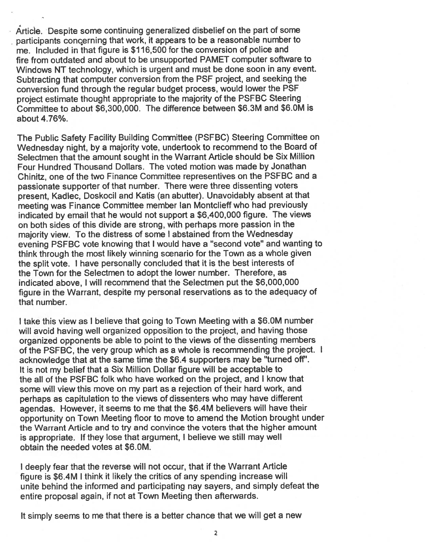• Article. Despite some continuing generalized disbelief on the par<sup>t</sup> of some participants concerning that work, it appears to be a reasonable number to me. Included in that figure is \$116,500 for the conversion of police and fire from outdated and about to be unsupported PAMET computer software to Windows NT technology, which is urgen<sup>t</sup> and must be done soon in any event. Subtracting that computer conversion from the PSF project, and seeking the conversion fund through the regular budget process, would lower the PSF project estimate thought appropriate to the majority of the PSFBC Steering Committee to about \$6,300,000. The difference between \$6.3M and \$6.OM is about 4.76%.

The Public Safety Facility Building Committee (PSFBC) Steering Committee on Wednesday night, by <sup>a</sup> majority vote, undertook to recommend to the Board of Selectmen that the amount sought in the Warrant Article should be Six Million Four Hundred Thousand Dollars. The voted motion was made by Jonathan Chinitz, one of the two Finance Committee representives on the PSFBC and <sup>a</sup> passionate supporter of that number. There were three dissenting voters present, Kadlec, Doskocil and Katis (an abutter). Unavoidably absent at that meeting was Finance Committee member Ian Montclieff who had previously indicated by email that he would not suppor<sup>t</sup> <sup>a</sup> \$6,400,000 figure. The views on both sides of this divide are strong, with perhaps more passion in the majority view. To the distress of some <sup>1</sup> abstained from the Wednesday evening PSFBC vote knowing that <sup>I</sup> would have <sup>a</sup> "second vote" and wanting to think through the most likely winning scenario for the Town as <sup>a</sup> whole <sup>g</sup>iven the split vote. <sup>I</sup> have personally concluded that it is the best interests of the Town for the Selectmen to adopt the lower number. Therefore, as indicated above, I will recommend that the Selectmen pu<sup>t</sup> the \$6,000,000 figure in the Warrant, despite my persona<sup>l</sup> reservations as to the adequacy of that number.

<sup>I</sup> take this view as <sup>I</sup> believe that going to Town Meeting with <sup>a</sup> \$6.OM number will avoid having well organized opposition to the project, and having those organized opponents be able to point to the views of the dissenting members of the PSFBC, the very group which as <sup>a</sup> whole is recommending the project. <sup>I</sup> acknowledge that at the same time the \$6.4 supporters may be "turned off'. It is not my belief that <sup>a</sup> Six Million Dollar figure will be acceptable to the all of the PSFBC folk who have worked on the project, and I know that some will view this move on my par<sup>t</sup> as <sup>a</sup> rejection of their hard work, and perhaps as capitulation to the views of dissenters who may have different agendas. However, it seems to me that the \$6.4M believers will have their opportunity on Town Meeting floor to move to amend the Motion brought under the Warrant Article and to try and convince the voters that the higher amount is appropriate. If they lose that argument, <sup>I</sup> believe we still may well obtain the needed votes at \$6.OM.

<sup>I</sup> deeply fear that the reverse will not occur, that if the Warrant Article figure is \$6.4M <sup>I</sup> think it likely the critics of any spending increase will unite behind the informed and participating nay sayers, and simply defeat the entire proposal again, if not at Town Meeting then afterwards.

It simply seems to me that there is <sup>a</sup> better chance that we will ge<sup>t</sup> <sup>a</sup> new

2